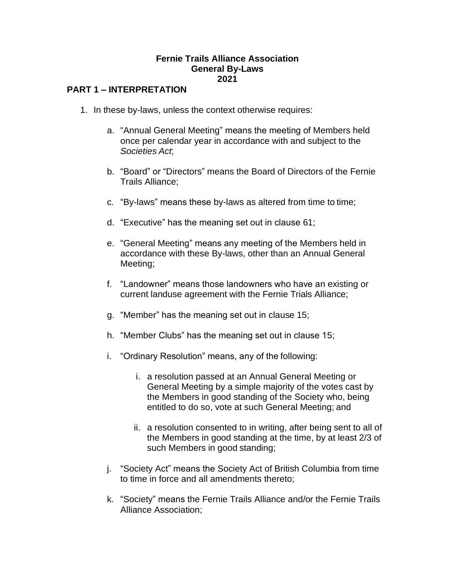#### **Fernie Trails Alliance Association General By-Laws 2021**

### **PART 1 – INTERPRETATION**

- 1. In these by-laws, unless the context otherwise requires:
	- a. "Annual General Meeting" means the meeting of Members held once per calendar year in accordance with and subject to the *Societies Act*;
	- b. "Board" or "Directors" means the Board of Directors of the Fernie Trails Alliance;
	- c. "By-laws" means these by-laws as altered from time to time;
	- d. "Executive" has the meaning set out in clause 61;
	- e. "General Meeting" means any meeting of the Members held in accordance with these By-laws, other than an Annual General Meeting;
	- f. "Landowner" means those landowners who have an existing or current landuse agreement with the Fernie Trials Alliance;
	- g. "Member" has the meaning set out in clause 15;
	- h. "Member Clubs" has the meaning set out in clause 15;
	- i. "Ordinary Resolution" means, any of the following:
		- i. a resolution passed at an Annual General Meeting or General Meeting by a simple majority of the votes cast by the Members in good standing of the Society who, being entitled to do so, vote at such General Meeting; and
		- ii. a resolution consented to in writing, after being sent to all of the Members in good standing at the time, by at least 2/3 of such Members in good standing;
	- j. "Society Act" means the Society Act of British Columbia from time to time in force and all amendments thereto;
	- k. "Society" means the Fernie Trails Alliance and/or the Fernie Trails Alliance Association;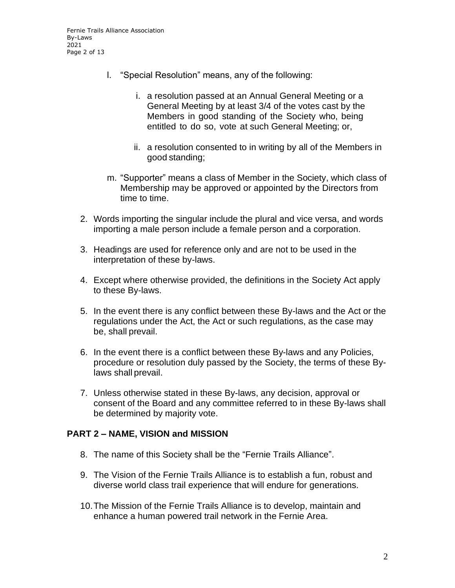Fernie Trails Alliance Association By-Laws 2021 Page 2 of 13

- l. "Special Resolution" means, any of the following:
	- i. a resolution passed at an Annual General Meeting or a General Meeting by at least 3/4 of the votes cast by the Members in good standing of the Society who, being entitled to do so, vote at such General Meeting; or,
	- ii. a resolution consented to in writing by all of the Members in good standing;
- m. "Supporter" means a class of Member in the Society, which class of Membership may be approved or appointed by the Directors from time to time.
- 2. Words importing the singular include the plural and vice versa, and words importing a male person include a female person and a corporation.
- 3. Headings are used for reference only and are not to be used in the interpretation of these by-laws.
- 4. Except where otherwise provided, the definitions in the Society Act apply to these By-laws.
- 5. In the event there is any conflict between these By-laws and the Act or the regulations under the Act, the Act or such regulations, as the case may be, shall prevail.
- 6. In the event there is a conflict between these By-laws and any Policies, procedure or resolution duly passed by the Society, the terms of these Bylaws shall prevail.
- 7. Unless otherwise stated in these By-laws, any decision, approval or consent of the Board and any committee referred to in these By-laws shall be determined by majority vote.

#### **PART 2 – NAME, VISION and MISSION**

- 8. The name of this Society shall be the "Fernie Trails Alliance".
- 9. The Vision of the Fernie Trails Alliance is to establish a fun, robust and diverse world class trail experience that will endure for generations.
- 10.The Mission of the Fernie Trails Alliance is to develop, maintain and enhance a human powered trail network in the Fernie Area.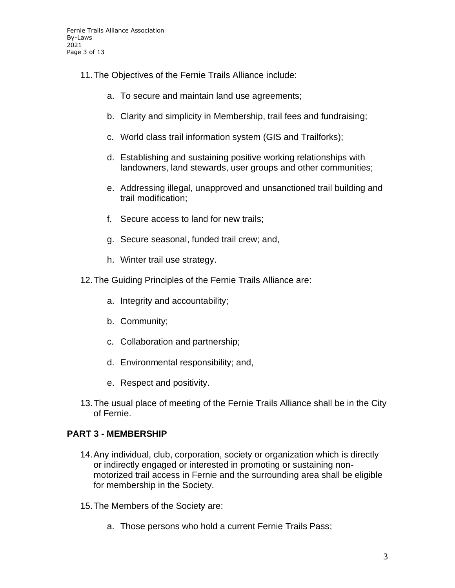- 11.The Objectives of the Fernie Trails Alliance include:
	- a. To secure and maintain land use agreements;
	- b. Clarity and simplicity in Membership, trail fees and fundraising;
	- c. World class trail information system (GIS and Trailforks);
	- d. Establishing and sustaining positive working relationships with landowners, land stewards, user groups and other communities;
	- e. Addressing illegal, unapproved and unsanctioned trail building and trail modification;
	- f. Secure access to land for new trails;
	- g. Secure seasonal, funded trail crew; and,
	- h. Winter trail use strategy.
- 12.The Guiding Principles of the Fernie Trails Alliance are:
	- a. Integrity and accountability;
	- b. Community;
	- c. Collaboration and partnership;
	- d. Environmental responsibility; and,
	- e. Respect and positivity.
- 13.The usual place of meeting of the Fernie Trails Alliance shall be in the City of Fernie.

## **PART 3 - MEMBERSHIP**

- 14.Any individual, club, corporation, society or organization which is directly or indirectly engaged or interested in promoting or sustaining nonmotorized trail access in Fernie and the surrounding area shall be eligible for membership in the Society.
- 15.The Members of the Society are:
	- a. Those persons who hold a current Fernie Trails Pass;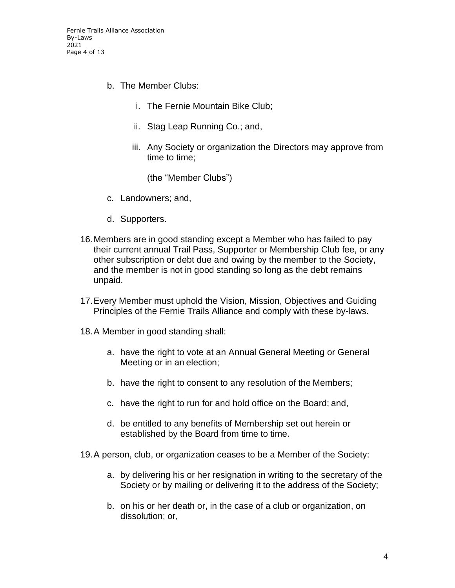- b. The Member Clubs:
	- i. The Fernie Mountain Bike Club;
	- ii. Stag Leap Running Co.; and,
	- iii. Any Society or organization the Directors may approve from time to time;

(the "Member Clubs")

- c. Landowners; and,
- d. Supporters.
- 16.Members are in good standing except a Member who has failed to pay their current annual Trail Pass, Supporter or Membership Club fee, or any other subscription or debt due and owing by the member to the Society, and the member is not in good standing so long as the debt remains unpaid.
- 17.Every Member must uphold the Vision, Mission, Objectives and Guiding Principles of the Fernie Trails Alliance and comply with these by-laws.
- 18.A Member in good standing shall:
	- a. have the right to vote at an Annual General Meeting or General Meeting or in an election;
	- b. have the right to consent to any resolution of the Members;
	- c. have the right to run for and hold office on the Board; and,
	- d. be entitled to any benefits of Membership set out herein or established by the Board from time to time.
- 19.A person, club, or organization ceases to be a Member of the Society:
	- a. by delivering his or her resignation in writing to the secretary of the Society or by mailing or delivering it to the address of the Society;
	- b. on his or her death or, in the case of a club or organization, on dissolution; or,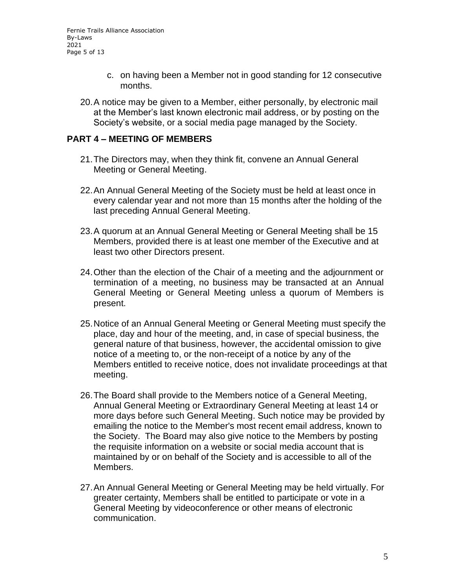Fernie Trails Alliance Association By-Laws 2021 Page 5 of 13

- c. on having been a Member not in good standing for 12 consecutive months.
- 20.A notice may be given to a Member, either personally, by electronic mail at the Member's last known electronic mail address, or by posting on the Society's website, or a social media page managed by the Society.

### **PART 4 – MEETING OF MEMBERS**

- 21.The Directors may, when they think fit, convene an Annual General Meeting or General Meeting.
- 22.An Annual General Meeting of the Society must be held at least once in every calendar year and not more than 15 months after the holding of the last preceding Annual General Meeting.
- 23.A quorum at an Annual General Meeting or General Meeting shall be 15 Members, provided there is at least one member of the Executive and at least two other Directors present.
- 24.Other than the election of the Chair of a meeting and the adjournment or termination of a meeting, no business may be transacted at an Annual General Meeting or General Meeting unless a quorum of Members is present.
- 25.Notice of an Annual General Meeting or General Meeting must specify the place, day and hour of the meeting, and, in case of special business, the general nature of that business, however, the accidental omission to give notice of a meeting to, or the non-receipt of a notice by any of the Members entitled to receive notice, does not invalidate proceedings at that meeting.
- 26.The Board shall provide to the Members notice of a General Meeting, Annual General Meeting or Extraordinary General Meeting at least 14 or more days before such General Meeting. Such notice may be provided by emailing the notice to the Member's most recent email address, known to the Society. The Board may also give notice to the Members by posting the requisite information on a website or social media account that is maintained by or on behalf of the Society and is accessible to all of the Members.
- 27.An Annual General Meeting or General Meeting may be held virtually. For greater certainty, Members shall be entitled to participate or vote in a General Meeting by videoconference or other means of electronic communication.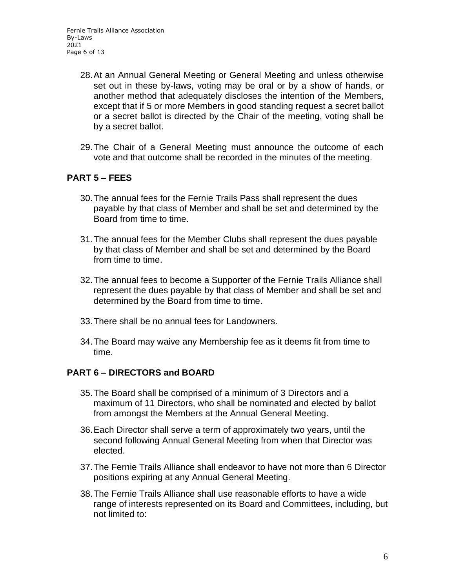Fernie Trails Alliance Association By-Laws 2021 Page 6 of 13

- 28.At an Annual General Meeting or General Meeting and unless otherwise set out in these by-laws, voting may be oral or by a show of hands, or another method that adequately discloses the intention of the Members, except that if 5 or more Members in good standing request a secret ballot or a secret ballot is directed by the Chair of the meeting, voting shall be by a secret ballot.
- 29.The Chair of a General Meeting must announce the outcome of each vote and that outcome shall be recorded in the minutes of the meeting.

## **PART 5 – FEES**

- 30.The annual fees for the Fernie Trails Pass shall represent the dues payable by that class of Member and shall be set and determined by the Board from time to time.
- 31.The annual fees for the Member Clubs shall represent the dues payable by that class of Member and shall be set and determined by the Board from time to time.
- 32.The annual fees to become a Supporter of the Fernie Trails Alliance shall represent the dues payable by that class of Member and shall be set and determined by the Board from time to time.
- 33.There shall be no annual fees for Landowners.
- 34.The Board may waive any Membership fee as it deems fit from time to time.

## **PART 6 – DIRECTORS and BOARD**

- 35.The Board shall be comprised of a minimum of 3 Directors and a maximum of 11 Directors, who shall be nominated and elected by ballot from amongst the Members at the Annual General Meeting.
- 36.Each Director shall serve a term of approximately two years, until the second following Annual General Meeting from when that Director was elected.
- 37.The Fernie Trails Alliance shall endeavor to have not more than 6 Director positions expiring at any Annual General Meeting.
- 38.The Fernie Trails Alliance shall use reasonable efforts to have a wide range of interests represented on its Board and Committees, including, but not limited to: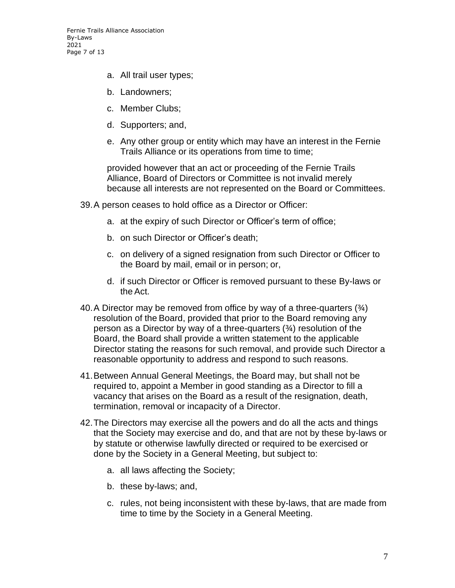Fernie Trails Alliance Association By-Laws 2021 Page 7 of 13

- a. All trail user types;
- b. Landowners;
- c. Member Clubs;
- d. Supporters; and,
- e. Any other group or entity which may have an interest in the Fernie Trails Alliance or its operations from time to time;

provided however that an act or proceeding of the Fernie Trails Alliance, Board of Directors or Committee is not invalid merely because all interests are not represented on the Board or Committees.

- 39.A person ceases to hold office as a Director or Officer:
	- a. at the expiry of such Director or Officer's term of office;
	- b. on such Director or Officer's death;
	- c. on delivery of a signed resignation from such Director or Officer to the Board by mail, email or in person; or,
	- d. if such Director or Officer is removed pursuant to these By-laws or the Act.
- 40. A Director may be removed from office by way of a three-quarters  $(3/4)$ resolution of the Board, provided that prior to the Board removing any person as a Director by way of a three-quarters (¾) resolution of the Board, the Board shall provide a written statement to the applicable Director stating the reasons for such removal, and provide such Director a reasonable opportunity to address and respond to such reasons.
- 41.Between Annual General Meetings, the Board may, but shall not be required to, appoint a Member in good standing as a Director to fill a vacancy that arises on the Board as a result of the resignation, death, termination, removal or incapacity of a Director.
- 42.The Directors may exercise all the powers and do all the acts and things that the Society may exercise and do, and that are not by these by-laws or by statute or otherwise lawfully directed or required to be exercised or done by the Society in a General Meeting, but subject to:
	- a. all laws affecting the Society;
	- b. these by-laws; and,
	- c. rules, not being inconsistent with these by-laws, that are made from time to time by the Society in a General Meeting.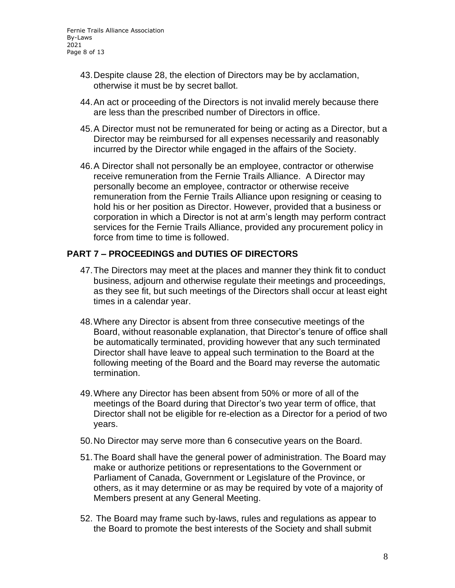- 43.Despite clause 28, the election of Directors may be by acclamation, otherwise it must be by secret ballot.
- 44.An act or proceeding of the Directors is not invalid merely because there are less than the prescribed number of Directors in office.
- 45.A Director must not be remunerated for being or acting as a Director, but a Director may be reimbursed for all expenses necessarily and reasonably incurred by the Director while engaged in the affairs of the Society.
- 46.A Director shall not personally be an employee, contractor or otherwise receive remuneration from the Fernie Trails Alliance. A Director may personally become an employee, contractor or otherwise receive remuneration from the Fernie Trails Alliance upon resigning or ceasing to hold his or her position as Director. However, provided that a business or corporation in which a Director is not at arm's length may perform contract services for the Fernie Trails Alliance, provided any procurement policy in force from time to time is followed.

## **PART 7 – PROCEEDINGS and DUTIES OF DIRECTORS**

- 47.The Directors may meet at the places and manner they think fit to conduct business, adjourn and otherwise regulate their meetings and proceedings, as they see fit, but such meetings of the Directors shall occur at least eight times in a calendar year.
- 48.Where any Director is absent from three consecutive meetings of the Board, without reasonable explanation, that Director's tenure of office shall be automatically terminated, providing however that any such terminated Director shall have leave to appeal such termination to the Board at the following meeting of the Board and the Board may reverse the automatic termination.
- 49.Where any Director has been absent from 50% or more of all of the meetings of the Board during that Director's two year term of office, that Director shall not be eligible for re-election as a Director for a period of two years.
- 50.No Director may serve more than 6 consecutive years on the Board.
- 51.The Board shall have the general power of administration. The Board may make or authorize petitions or representations to the Government or Parliament of Canada, Government or Legislature of the Province, or others, as it may determine or as may be required by vote of a majority of Members present at any General Meeting.
- 52. The Board may frame such by-laws, rules and regulations as appear to the Board to promote the best interests of the Society and shall submit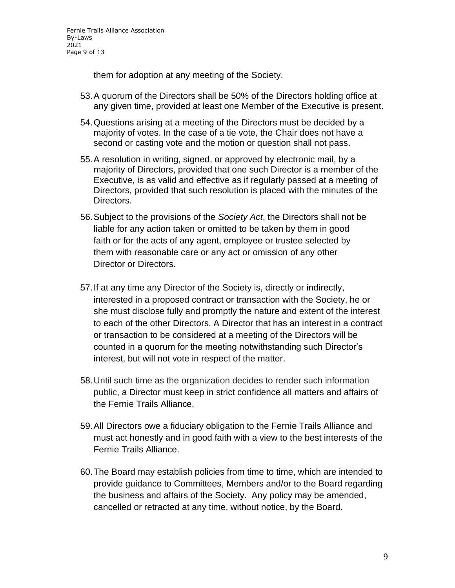them for adoption at any meeting of the Society.

- 53.A quorum of the Directors shall be 50% of the Directors holding office at any given time, provided at least one Member of the Executive is present.
- 54.Questions arising at a meeting of the Directors must be decided by a majority of votes. In the case of a tie vote, the Chair does not have a second or casting vote and the motion or question shall not pass.
- 55.A resolution in writing, signed, or approved by electronic mail, by a majority of Directors, provided that one such Director is a member of the Executive, is as valid and effective as if regularly passed at a meeting of Directors, provided that such resolution is placed with the minutes of the Directors.
- 56.Subject to the provisions of the *Society Act*, the Directors shall not be liable for any action taken or omitted to be taken by them in good faith or for the acts of any agent, employee or trustee selected by them with reasonable care or any act or omission of any other Director or Directors.
- 57.If at any time any Director of the Society is, directly or indirectly, interested in a proposed contract or transaction with the Society, he or she must disclose fully and promptly the nature and extent of the interest to each of the other Directors. A Director that has an interest in a contract or transaction to be considered at a meeting of the Directors will be counted in a quorum for the meeting notwithstanding such Director's interest, but will not vote in respect of the matter.
- 58.Until such time as the organization decides to render such information public, a Director must keep in strict confidence all matters and affairs of the Fernie Trails Alliance.
- 59.All Directors owe a fiduciary obligation to the Fernie Trails Alliance and must act honestly and in good faith with a view to the best interests of the Fernie Trails Alliance.
- 60.The Board may establish policies from time to time, which are intended to provide guidance to Committees, Members and/or to the Board regarding the business and affairs of the Society. Any policy may be amended, cancelled or retracted at any time, without notice, by the Board.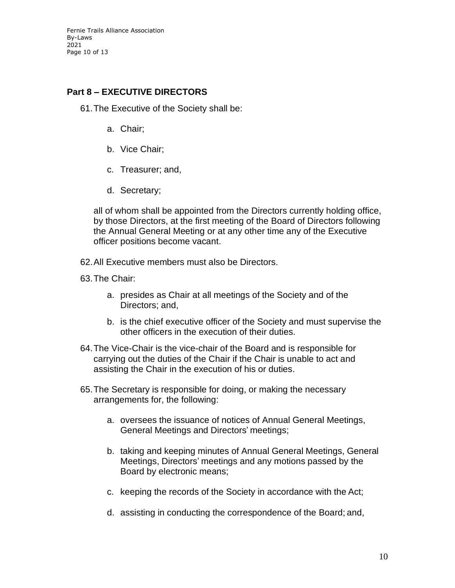Fernie Trails Alliance Association By-Laws 2021 Page 10 of 13

# **Part 8 – EXECUTIVE DIRECTORS**

61.The Executive of the Society shall be:

- a. Chair;
- b. Vice Chair;
- c. Treasurer; and,
- d. Secretary;

all of whom shall be appointed from the Directors currently holding office, by those Directors, at the first meeting of the Board of Directors following the Annual General Meeting or at any other time any of the Executive officer positions become vacant.

- 62.All Executive members must also be Directors.
- 63.The Chair:
	- a. presides as Chair at all meetings of the Society and of the Directors; and,
	- b. is the chief executive officer of the Society and must supervise the other officers in the execution of their duties.
- 64.The Vice-Chair is the vice-chair of the Board and is responsible for carrying out the duties of the Chair if the Chair is unable to act and assisting the Chair in the execution of his or duties.
- 65.The Secretary is responsible for doing, or making the necessary arrangements for, the following:
	- a. oversees the issuance of notices of Annual General Meetings, General Meetings and Directors' meetings;
	- b. taking and keeping minutes of Annual General Meetings, General Meetings, Directors' meetings and any motions passed by the Board by electronic means;
	- c. keeping the records of the Society in accordance with the Act;
	- d. assisting in conducting the correspondence of the Board; and,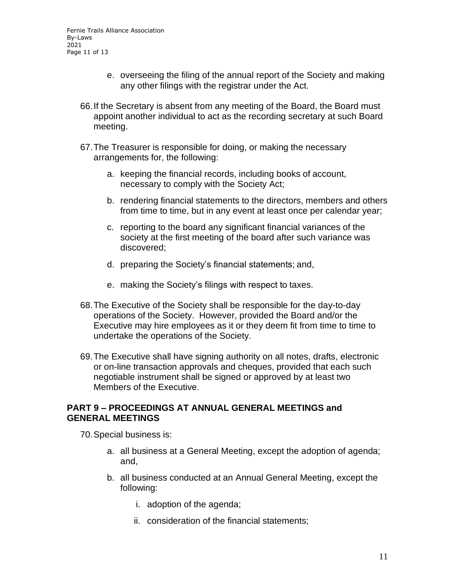- e. overseeing the filing of the annual report of the Society and making any other filings with the registrar under the Act.
- 66.If the Secretary is absent from any meeting of the Board, the Board must appoint another individual to act as the recording secretary at such Board meeting.
- 67.The Treasurer is responsible for doing, or making the necessary arrangements for, the following:
	- a. keeping the financial records, including books of account, necessary to comply with the Society Act;
	- b. rendering financial statements to the directors, members and others from time to time, but in any event at least once per calendar year;
	- c. reporting to the board any significant financial variances of the society at the first meeting of the board after such variance was discovered;
	- d. preparing the Society's financial statements; and,
	- e. making the Society's filings with respect to taxes.
- 68.The Executive of the Society shall be responsible for the day-to-day operations of the Society. However, provided the Board and/or the Executive may hire employees as it or they deem fit from time to time to undertake the operations of the Society.
- 69.The Executive shall have signing authority on all notes, drafts, electronic or on-line transaction approvals and cheques, provided that each such negotiable instrument shall be signed or approved by at least two Members of the Executive.

#### **PART 9 – PROCEEDINGS AT ANNUAL GENERAL MEETINGS and GENERAL MEETINGS**

70.Special business is:

- a. all business at a General Meeting, except the adoption of agenda; and,
- b. all business conducted at an Annual General Meeting, except the following:
	- i. adoption of the agenda;
	- ii. consideration of the financial statements;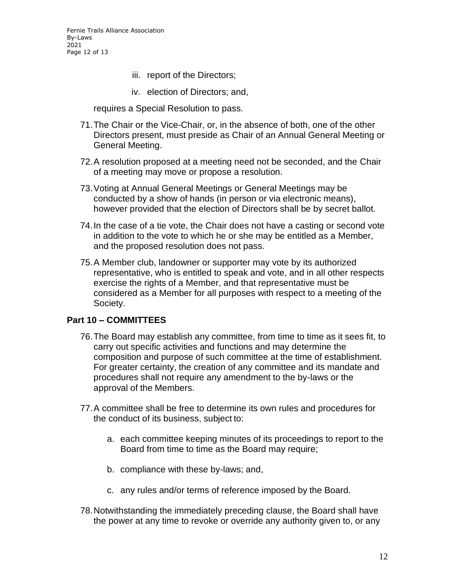- iii. report of the Directors;
- iv. election of Directors; and,

requires a Special Resolution to pass.

- 71.The Chair or the Vice-Chair, or, in the absence of both, one of the other Directors present, must preside as Chair of an Annual General Meeting or General Meeting.
- 72.A resolution proposed at a meeting need not be seconded, and the Chair of a meeting may move or propose a resolution.
- 73.Voting at Annual General Meetings or General Meetings may be conducted by a show of hands (in person or via electronic means), however provided that the election of Directors shall be by secret ballot.
- 74.In the case of a tie vote, the Chair does not have a casting or second vote in addition to the vote to which he or she may be entitled as a Member, and the proposed resolution does not pass.
- 75.A Member club, landowner or supporter may vote by its authorized representative, who is entitled to speak and vote, and in all other respects exercise the rights of a Member, and that representative must be considered as a Member for all purposes with respect to a meeting of the Society.

### **Part 10 – COMMITTEES**

- 76.The Board may establish any committee, from time to time as it sees fit, to carry out specific activities and functions and may determine the composition and purpose of such committee at the time of establishment. For greater certainty, the creation of any committee and its mandate and procedures shall not require any amendment to the by-laws or the approval of the Members.
- 77.A committee shall be free to determine its own rules and procedures for the conduct of its business, subject to:
	- a. each committee keeping minutes of its proceedings to report to the Board from time to time as the Board may require;
	- b. compliance with these by-laws; and,
	- c. any rules and/or terms of reference imposed by the Board.
- 78.Notwithstanding the immediately preceding clause, the Board shall have the power at any time to revoke or override any authority given to, or any